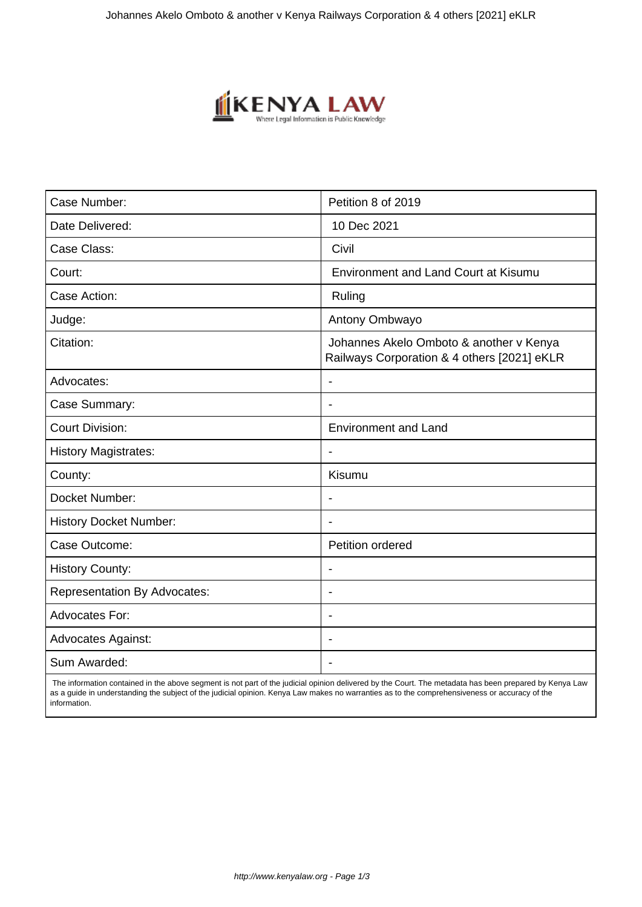

| Case Number:                        | Petition 8 of 2019                                                                     |
|-------------------------------------|----------------------------------------------------------------------------------------|
| Date Delivered:                     | 10 Dec 2021                                                                            |
| Case Class:                         | Civil                                                                                  |
| Court:                              | <b>Environment and Land Court at Kisumu</b>                                            |
| Case Action:                        | Ruling                                                                                 |
| Judge:                              | Antony Ombwayo                                                                         |
| Citation:                           | Johannes Akelo Omboto & another v Kenya<br>Railways Corporation & 4 others [2021] eKLR |
| Advocates:                          |                                                                                        |
| Case Summary:                       |                                                                                        |
| <b>Court Division:</b>              | <b>Environment and Land</b>                                                            |
| <b>History Magistrates:</b>         | $\blacksquare$                                                                         |
| County:                             | Kisumu                                                                                 |
| Docket Number:                      |                                                                                        |
| <b>History Docket Number:</b>       |                                                                                        |
| Case Outcome:                       | Petition ordered                                                                       |
| <b>History County:</b>              | $\overline{\phantom{a}}$                                                               |
| <b>Representation By Advocates:</b> | $\overline{\phantom{0}}$                                                               |
| <b>Advocates For:</b>               | $\overline{\phantom{a}}$                                                               |
| <b>Advocates Against:</b>           |                                                                                        |
| Sum Awarded:                        |                                                                                        |

 The information contained in the above segment is not part of the judicial opinion delivered by the Court. The metadata has been prepared by Kenya Law as a guide in understanding the subject of the judicial opinion. Kenya Law makes no warranties as to the comprehensiveness or accuracy of the information.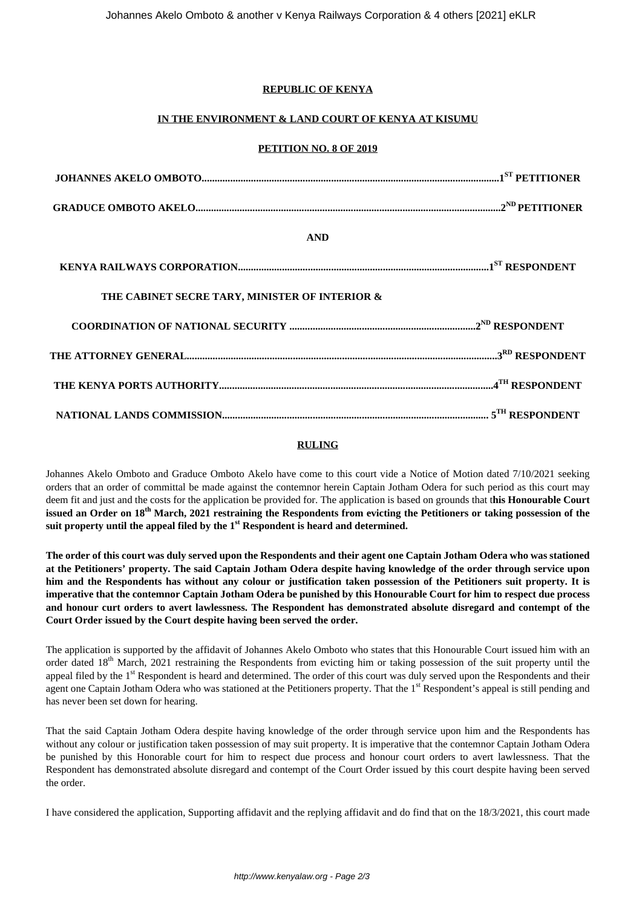# **REPUBLIC OF KENYA**

## **IN THE ENVIRONMENT & LAND COURT OF KENYA AT KISUMU**

### **PETITION NO. 8 OF 2019**

| <b>AND</b>                                     |  |
|------------------------------------------------|--|
|                                                |  |
| THE CABINET SECRE TARY, MINISTER OF INTERIOR & |  |
|                                                |  |
|                                                |  |
|                                                |  |
|                                                |  |

### **RULING**

Johannes Akelo Omboto and Graduce Omboto Akelo have come to this court vide a Notice of Motion dated 7/10/2021 seeking orders that an order of committal be made against the contemnor herein Captain Jotham Odera for such period as this court may deem fit and just and the costs for the application be provided for. The application is based on grounds that t**his Honourable Court issued an Order on 18th March, 2021 restraining the Respondents from evicting the Petitioners or taking possession of the suit property until the appeal filed by the 1st Respondent is heard and determined.**

**The order of this court was duly served upon the Respondents and their agent one Captain Jotham Odera who was stationed at the Petitioners' property. The said Captain Jotham Odera despite having knowledge of the order through service upon him and the Respondents has without any colour or justification taken possession of the Petitioners suit property. It is imperative that the contemnor Captain Jotham Odera be punished by this Honourable Court for him to respect due process and honour curt orders to avert lawlessness. The Respondent has demonstrated absolute disregard and contempt of the Court Order issued by the Court despite having been served the order.**

The application is supported by the affidavit of Johannes Akelo Omboto who states that this Honourable Court issued him with an order dated  $18<sup>th</sup>$  March, 2021 restraining the Respondents from evicting him or taking possession of the suit property until the appeal filed by the  $1<sup>st</sup>$  Respondent is heard and determined. The order of this court was duly served upon the Respondents and their agent one Captain Jotham Odera who was stationed at the Petitioners property. That the 1<sup>st</sup> Respondent's appeal is still pending and has never been set down for hearing.

That the said Captain Jotham Odera despite having knowledge of the order through service upon him and the Respondents has without any colour or justification taken possession of may suit property. It is imperative that the contemnor Captain Jotham Odera be punished by this Honorable court for him to respect due process and honour court orders to avert lawlessness. That the Respondent has demonstrated absolute disregard and contempt of the Court Order issued by this court despite having been served the order.

I have considered the application, Supporting affidavit and the replying affidavit and do find that on the 18/3/2021, this court made